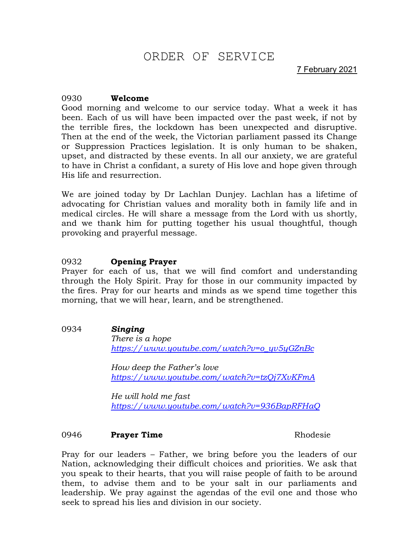# ORDER OF SERVICE

7 February 2021

# 0930 **Welcome**

Good morning and welcome to our service today. What a week it has been. Each of us will have been impacted over the past week, if not by the terrible fires, the lockdown has been unexpected and disruptive. Then at the end of the week, the Victorian parliament passed its Change or Suppression Practices legislation. It is only human to be shaken, upset, and distracted by these events. In all our anxiety, we are grateful to have in Christ a confidant, a surety of His love and hope given through His life and resurrection.

We are joined today by Dr Lachlan Dunjey. Lachlan has a lifetime of advocating for Christian values and morality both in family life and in medical circles. He will share a message from the Lord with us shortly, and we thank him for putting together his usual thoughtful, though provoking and prayerful message.

# 0932 **Opening Prayer**

Prayer for each of us, that we will find comfort and understanding through the Holy Spirit. Pray for those in our community impacted by the fires. Pray for our hearts and minds as we spend time together this morning, that we will hear, learn, and be strengthened.

0934 *Singing*

*There is a hope [https://www.youtube.com/watch?v=o\\_yv5yGZnBc](https://www.youtube.com/watch?v=o_yv5yGZnBc)*

*How deep the Father's love <https://www.youtube.com/watch?v=tzQj7XvKFmA>*

*He will hold me fast <https://www.youtube.com/watch?v=936BapRFHaQ>*

# 0946 **Prayer Time** Rhodesie

Pray for our leaders – Father, we bring before you the leaders of our Nation, acknowledging their difficult choices and priorities. We ask that you speak to their hearts, that you will raise people of faith to be around them, to advise them and to be your salt in our parliaments and leadership. We pray against the agendas of the evil one and those who seek to spread his lies and division in our society.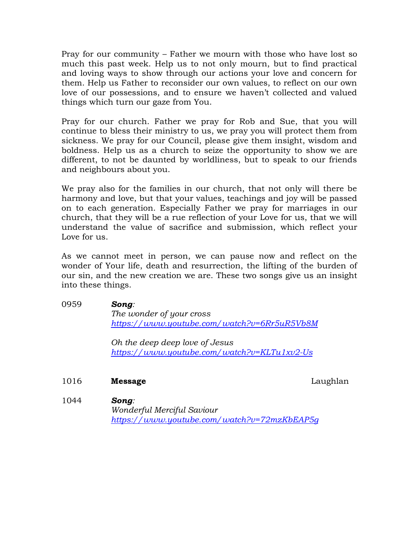Pray for our community – Father we mourn with those who have lost so much this past week. Help us to not only mourn, but to find practical and loving ways to show through our actions your love and concern for them. Help us Father to reconsider our own values, to reflect on our own love of our possessions, and to ensure we haven't collected and valued things which turn our gaze from You.

Pray for our church. Father we pray for Rob and Sue, that you will continue to bless their ministry to us, we pray you will protect them from sickness. We pray for our Council, please give them insight, wisdom and boldness. Help us as a church to seize the opportunity to show we are different, to not be daunted by worldliness, but to speak to our friends and neighbours about you.

We pray also for the families in our church, that not only will there be harmony and love, but that your values, teachings and joy will be passed on to each generation. Especially Father we pray for marriages in our church, that they will be a rue reflection of your Love for us, that we will understand the value of sacrifice and submission, which reflect your Love for us.

As we cannot meet in person, we can pause now and reflect on the wonder of Your life, death and resurrection, the lifting of the burden of our sin, and the new creation we are. These two songs give us an insight into these things.

0959 *Song: The wonder of your cross <https://www.youtube.com/watch?v=6Rr5uR5Vb8M>*

> *Oh the deep deep love of Jesus <https://www.youtube.com/watch?v=KLTu1xv2-Us>*

1016 **Message** Laughlan

1044 *Song:* 

*Wonderful Merciful Saviour <https://www.youtube.com/watch?v=72mzKbEAP5g>*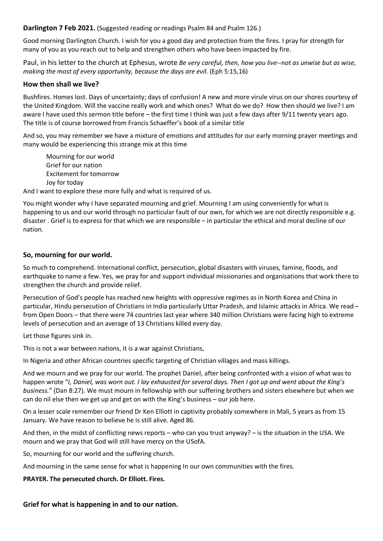**Darlington 7 Feb 2021.** (Suggested reading or readings Psalm 84 and Psalm 126.)

Good morning Darlington Church. I wish for you a good day and protection from the fires. I pray for strength for many of you as you reach out to help and strengthen others who have been impacted by fire.

Paul, in his letter to the church at Ephesus, wrote *Be very careful, then, how you live--not as unwise but as wise, making the most of every opportunity, because the days are evil.* (Eph 5:15,16)

# **How then shall we live?**

Bushfires. Homes lost. Days of uncertainty; days of confusion! A new and more virule virus on our shores courtesy of the United Kingdom. Will the vaccine really work and which ones? What do we do? How then should we live? I am aware I have used this sermon title before – the first time I think was just a few days after 9/11 twenty years ago. The title is of course borrowed from Francis Schaeffer's book of a similar title

And so, you may remember we have a mixture of emotions and attitudes for our early morning prayer meetings and many would be experiencing this strange mix at this time

Mourning for our world Grief for our nation Excitement for tomorrow Joy for today

And I want to explore these more fully and what is required of us.

You might wonder why I have separated mourning and grief. Mourning I am using conveniently for what is happening to us and our world through no particular fault of our own, for which we are not directly responsible e.g. disaster . Grief is to express for that which we are responsible – in particular the ethical and moral decline of our nation.

## **So, mourning for our world.**

So much to comprehend. International conflict, persecution, global disasters with viruses, famine, floods, and earthquake to name a few. Yes, we pray for and support individual missionaries and organisations that work there to strengthen the church and provide relief.

Persecution of God's people has reached new heights with oppressive regimes as in North Korea and China in particular, Hindu persecution of Christians in India particularly Uttar Pradesh, and Islamic attacks in Africa. We read – from Open Doors – that there were 74 countries last year where 340 million Christians were facing high to extreme levels of persecution and an average of 13 Christians killed every day.

Let those figures sink in.

This is not a war between nations, it is a war against Christians,

In Nigeria and other African countries specific targeting of Christian villages and mass killings.

And we mourn and we pray for our world. The prophet Daniel, after being confronted with a vision of what was to happen wrote "*I, Daniel, was worn out. I lay exhausted for several days. Then I got up and went about the King's business.*" (Dan 8:27). We must mourn in fellowship with our suffering brothers and sisters elsewhere but when we can do nil else then we get up and get on with the King's business – our job here.

On a lesser scale remember our friend Dr Ken Elliott in captivity probably somewhere in Mali, 5 years as from 15 January. We have reason to believe he is still alive. Aged 86.

And then, in the midst of conflicting news reports – who can you trust anyway? – is the situation in the USA. We mourn and we pray that God will still have mercy on the USofA.

So, mourning for our world and the suffering church.

And mourning in the same sense for what is happening In our own communities with the fires.

**PRAYER. The persecuted church. Dr Elliott. Fires.**

# **Grief for what is happening in and to our nation.**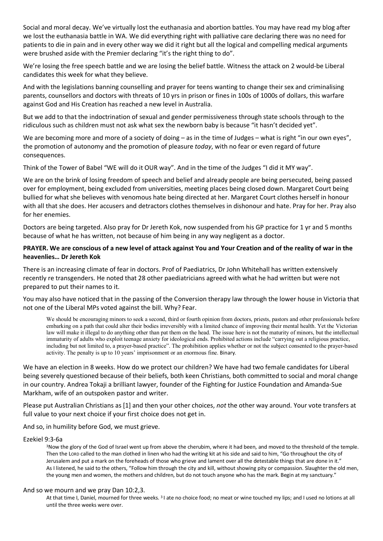Social and moral decay. We've virtually lost the euthanasia and abortion battles. You may have read my blog after we lost the euthanasia battle in WA. We did everything right with palliative care declaring there was no need for patients to die in pain and in every other way we did it right but all the logical and compelling medical arguments were brushed aside with the Premier declaring "it's the right thing to do".

We're losing the free speech battle and we are losing the belief battle. Witness the attack on 2 would-be Liberal candidates this week for what they believe.

And with the legislations banning counselling and prayer for teens wanting to change their sex and criminalising parents, counsellors and doctors with threats of 10 yrs in prison or fines in 100s of 1000s of dollars, this warfare against God and His Creation has reached a new level in Australia.

But we add to that the indoctrination of sexual and gender permissiveness through state schools through to the ridiculous such as children must not ask what sex the newborn baby is because "it hasn't decided yet".

We are becoming more and more of a society of doing – as in the time of Judges – what is right "in our own eyes", the promotion of autonomy and the promotion of pleasure *today*, with no fear or even regard of future consequences.

Think of the Tower of Babel "WE will do it OUR way". And in the time of the Judges "I did it MY way".

We are on the brink of losing freedom of speech and belief and already people are being persecuted, being passed over for employment, being excluded from universities, meeting places being closed down. Margaret Court being bullied for what she believes with venomous hate being directed at her. Margaret Court clothes herself in honour with all that she does. Her accusers and detractors clothes themselves in dishonour and hate. Pray for her. Pray also for her enemies.

Doctors are being targeted. Also pray for Dr Jereth Kok, now suspended from his GP practice for 1 yr and 5 months because of what he has written, not because of him being in any way negligent as a doctor.

## **PRAYER. We are conscious of a new level of attack against You and Your Creation and of the reality of war in the heavenlies… Dr Jereth Kok**

There is an increasing climate of fear in doctors. Prof of Paediatrics, Dr John Whitehall has written extensively recently re transgenders. He noted that 28 other paediatricians agreed with what he had written but were not prepared to put their names to it.

You may also have noticed that in the passing of the Conversion therapy law through the lower house in Victoria that not one of the Liberal MPs voted against the bill. Why? Fear.

We should be encouraging minors to seek a second, third or fourth opinion from doctors, priests, pastors and other professionals before embarking on a path that could alter their bodies irreversibly with a limited chance of improving their mental health. Yet the Victorian law will make it illegal to do anything other than pat them on the head. The issue here is not the maturity of minors, but the intellectual immaturity of adults who exploit teenage anxiety for ideological ends. Prohibited actions include "carrying out a religious practice, including but not limited to, a prayer-based practice". The prohibition applies whether or not the subject consented to the prayer-based activity. The penalty is up to 10 years' imprisonment or an enormous fine. Binary.

We have an election in 8 weeks. How do we protect our children? We have had two female candidates for Liberal being severely questioned because of their beliefs, both keen Christians, both committed to social and moral change in our country. Andrea Tokaji a brilliant lawyer, founder of the Fighting for Justice Foundation and Amanda-Sue Markham, wife of an outspoken pastor and writer.

Please put Australian Christians as [1] and then your other choices, *not* the other way around. Your vote transfers at full value to your next choice if your first choice does not get in.

And so, in humility before God, we must grieve.

#### Ezekiel 9:3-6a

3Now the glory of the God of Israel went up from above the cherubim, where it had been, and moved to the threshold of the temple. Then the LORD called to the man clothed in linen who had the writing kit at his side and said to him, "Go throughout the city of Jerusalem and put a mark on the foreheads of those who grieve and lament over all the detestable things that are done in it." As I listened, he said to the others, "Follow him through the city and kill, without showing pity or compassion. Slaughter the old men, the young men and women, the mothers and children, but do not touch anyone who has the mark. Begin at my sanctuary."

#### And so we mourn and we pray Dan 10:2,3.

At that time I, Daniel, mourned for three weeks. <sup>3</sup> I ate no choice food; no meat or wine touched my lips; and I used no lotions at all until the three weeks were over.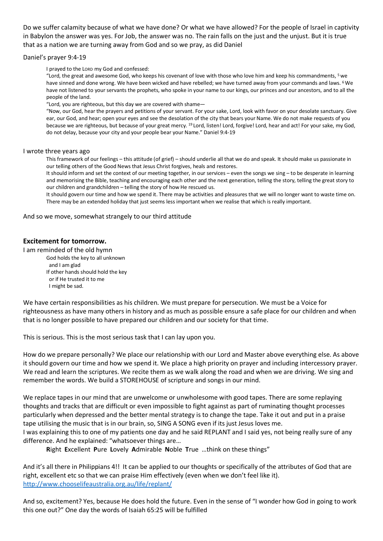Do we suffer calamity because of what we have done? Or what we have allowed? For the people of Israel in captivity in Babylon the answer was yes. For Job, the answer was no. The rain falls on the just and the unjust. But it is true that as a nation we are turning away from God and so we pray, as did Daniel

#### Daniel's prayer 9:4-19

I prayed to the LORD my God and confessed:

"Lord, the great and awesome God, who keeps his covenant of love with those who love him and keep his commandments, 5we have sinned and done wrong. We have been wicked and have rebelled; we have turned away from your commands and laws. <sup>6</sup> We have not listened to your servants the prophets, who spoke in your name to our kings, our princes and our ancestors, and to all the people of the land.

"Lord, you are righteous, but this day we are covered with shame—

"Now, our God, hear the prayers and petitions of your servant. For your sake, Lord, look with favor on your desolate sanctuary. Give ear, our God, and hear; open your eyes and see the desolation of the city that bears your Name. We do not make requests of you because we are righteous, but because of your great mercy. <sup>19</sup> Lord, listen! Lord, forgive! Lord, hear and act! For your sake, my God, do not delay, because your city and your people bear your Name." Daniel 9:4-19

#### I wrote three years ago

This framework of our feelings – this attitude (of grief) – should underlie all that we do and speak. It should make us passionate in our telling others of the Good News that Jesus Christ forgives, heals and restores.

It should inform and set the context of our meeting together, in our services – even the songs we sing – to be desperate in learning and memorising the Bible, teaching and encouraging each other and the next generation, telling the story, telling the great story to our children and grandchildren – telling the story of how He rescued us.

It should govern our time and how we spend it. There may be activities and pleasures that we will no longer want to waste time on. There may be an extended holiday that just seems less important when we realise that which is really important.

And so we move, somewhat strangely to our third attitude

## **Excitement for tomorrow.**

I am reminded of the old hymn

God holds the key to all unknown and I am glad If other hands should hold the key or if He trusted it to me I might be sad.

We have certain responsibilities as his children. We must prepare for persecution. We must be a Voice for righteousness as have many others in history and as much as possible ensure a safe place for our children and when that is no longer possible to have prepared our children and our society for that time.

This is serious. This is the most serious task that I can lay upon you.

How do we prepare personally? We place our relationship with our Lord and Master above everything else. As above it should govern our time and how we spend it. We place a high priority on prayer and including intercessory prayer. We read and learn the scriptures. We recite them as we walk along the road and when we are driving. We sing and remember the words. We build a STOREHOUSE of scripture and songs in our mind.

We replace tapes in our mind that are unwelcome or unwholesome with good tapes. There are some replaying thoughts and tracks that are difficult or even impossible to fight against as part of ruminating thought processes particularly when depressed and the better mental strategy is to change the tape. Take it out and put in a praise tape utilising the music that is in our brain, so, SING A SONG even if its just Jesus loves me.

I was explaining this to one of my patients one day and he said REPLANT and I said yes, not being really sure of any difference. And he explained: "whatsoever things are…

**R**ight **E**xcellent **P**ure **L**ovely **A**dmirable **N**oble **T**rue …think on these things"

And it's all there in Philippians 4!! It can be applied to our thoughts or specifically of the attributes of God that are right, excellent etc so that we can praise Him effectively (even when we don't feel like it). <http://www.chooselifeaustralia.org.au/life/replant/>

And so, excitement? Yes, because He does hold the future. Even in the sense of "I wonder how God in going to work this one out?" One day the words of Isaiah 65:25 will be fulfilled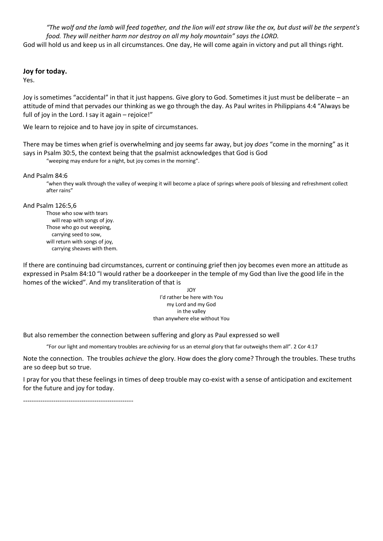*"The wolf and the lamb will feed together, and the lion will eat straw like the ox, but dust will be the serpent's food. They will neither harm nor destroy on all my holy mountain" says the LORD.*  God will hold us and keep us in all circumstances. One day, He will come again in victory and put all things right.

#### **Joy for today.**

Yes.

Joy is sometimes "accidental" in that it just happens. Give glory to God. Sometimes it just must be deliberate – an attitude of mind that pervades our thinking as we go through the day. As Paul writes in Philippians 4:4 "Always be full of joy in the Lord. I say it again – rejoice!"

We learn to rejoice and to have joy in spite of circumstances.

There may be times when grief is overwhelming and joy seems far away, but joy *does* "come in the morning" as it says in Psalm 30:5, the context being that the psalmist acknowledges that God is God

"weeping may endure for a night, but joy comes in the morning".

And Psalm 84:6

"when they walk through the valley of weeping it will become a place of springs where pools of blessing and refreshment collect after rains"

And Psalm 126:5,6

Those who sow with tears will reap with songs of joy. Those who go out weeping, carrying seed to sow, will return with songs of joy, carrying sheaves with them.

If there are continuing bad circumstances, current or continuing grief then joy becomes even more an attitude as expressed in Psalm 84:10 "I would rather be a doorkeeper in the temple of my God than live the good life in the homes of the wicked". And my transliteration of that is

> JOY I'd rather be here with You my Lord and my God in the valley than anywhere else without You

But also remember the connection between suffering and glory as Paul expressed so well

"For our light and momentary troubles are *achieving* for us an eternal glory that far outweighs them all". 2 Cor 4:17

Note the connection. The troubles *achieve* the glory. How does the glory come? Through the troubles. These truths are so deep but so true.

I pray for you that these feelings in times of deep trouble may co-exist with a sense of anticipation and excitement for the future and joy for today.

---------------------------------------------------